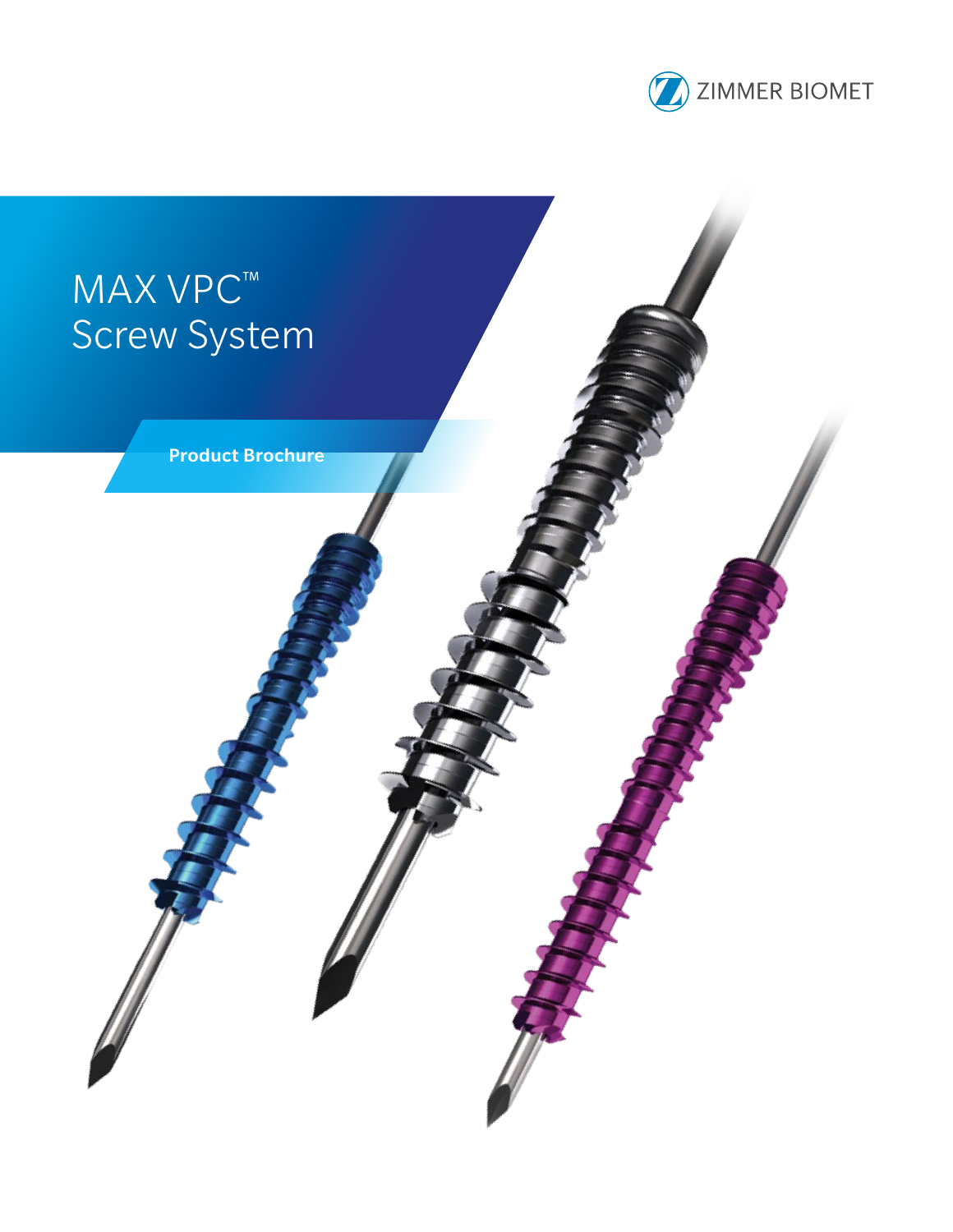

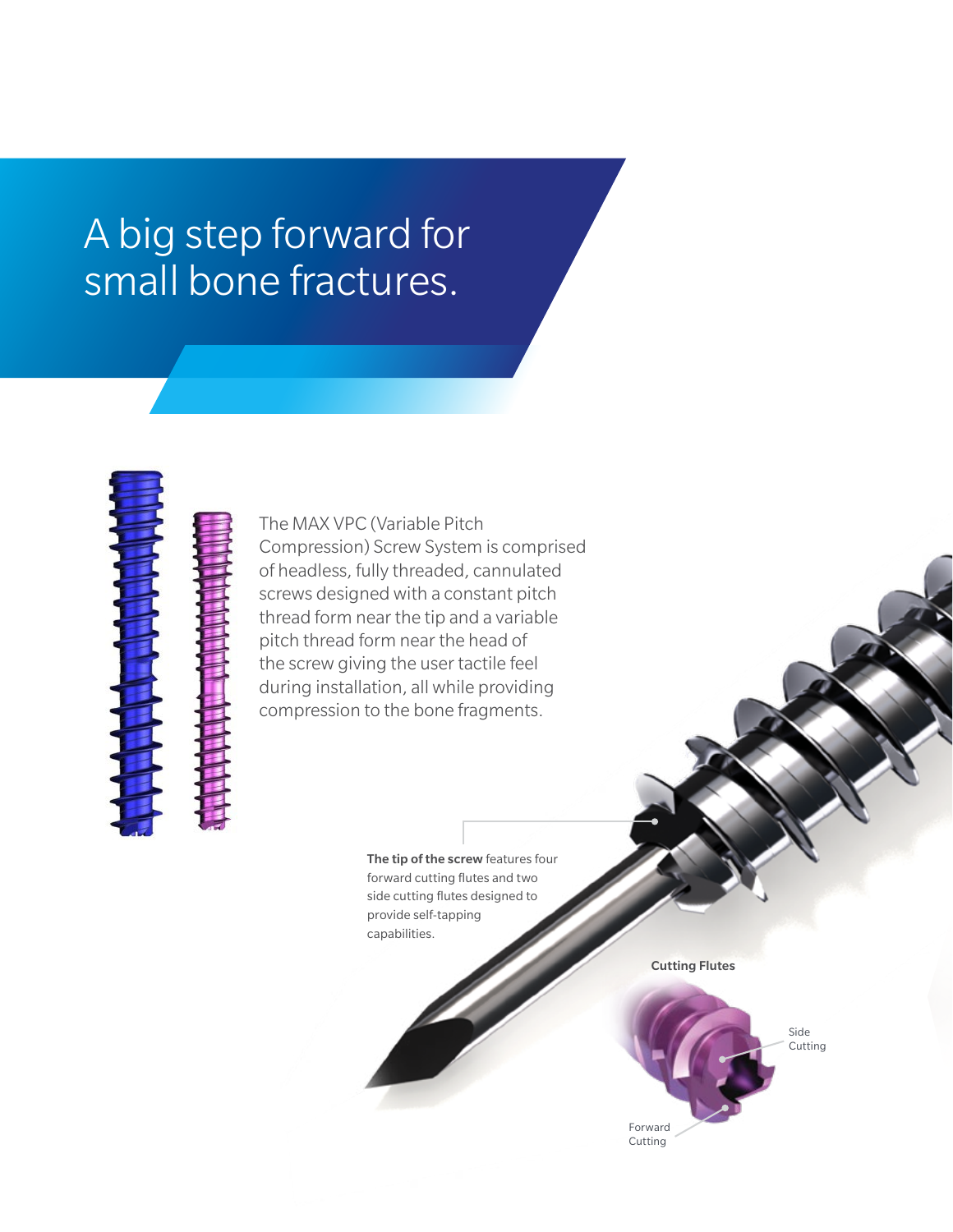## A big step forward for small bone fractures.



The MAX VPC (Variable Pitch Compression) Screw System is comprised of headless, fully threaded, cannulated screws designed with a constant pitch thread form near the tip and a variable pitch thread form near the head of the screw giving the user tactile feel during installation, all while providing compression to the bone fragments.

> The tip of the screw features four forward cutting flutes and two side cutting flutes designed to provide self-tapping capabilities.

> > Cutting Flutes

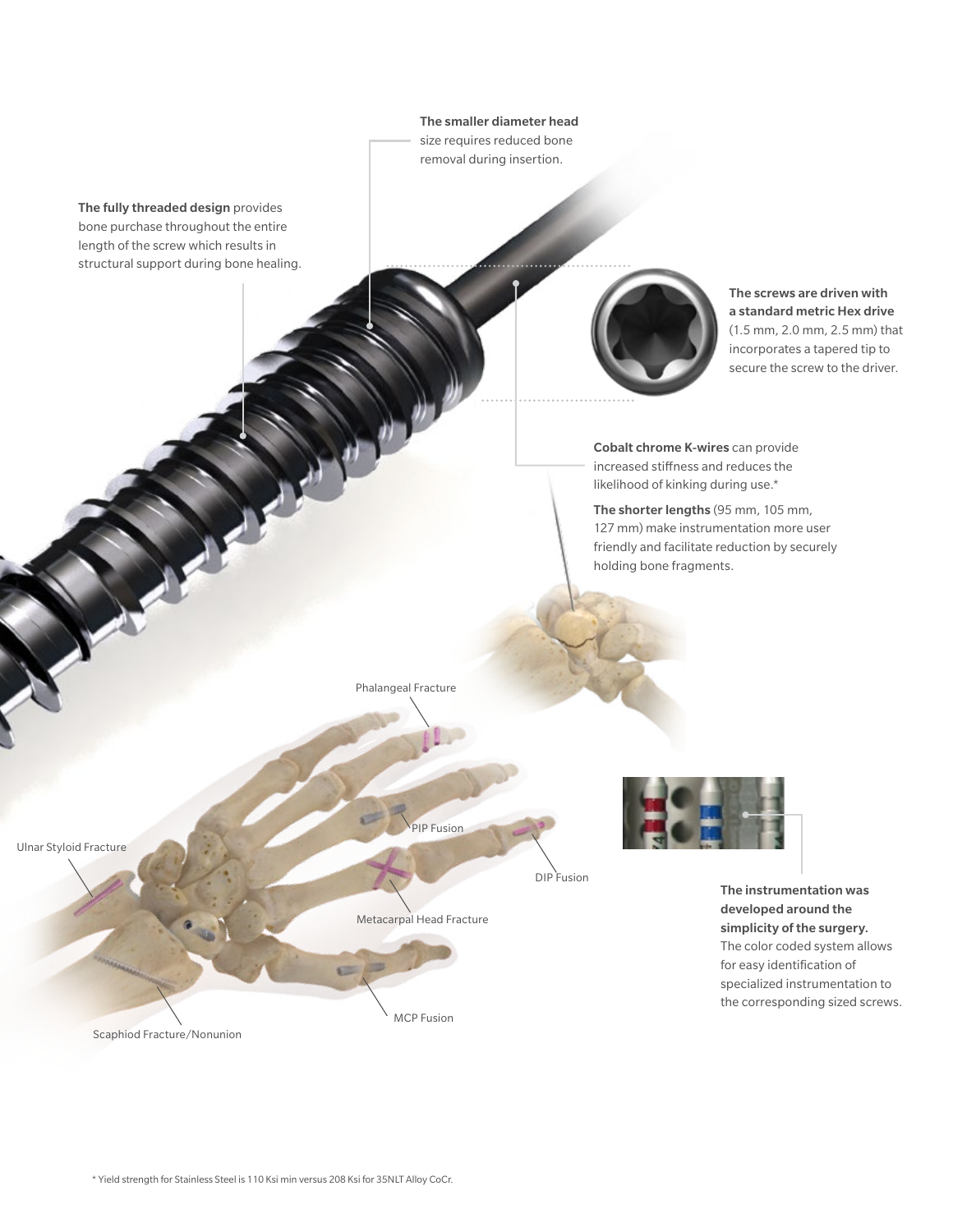The fully threaded design provides bone purchase throughout the entire length of the screw which results in structural support during bone healing. The smaller diameter head size requires reduced bone removal during insertion. The screws are driven with a standard metric Hex drive (1.5 mm, 2.0 mm, 2.5 mm) that incorporates a tapered tip to secure the screw to the driver. Scaphiod Fracture/Nonunion Ulnar Styloid Fracture Phalangeal Fracture PIP Fusion DIP Fusion Metacarpal Head Fracture MCP Fusion The instrumentation was developed around the simplicity of the surgery. The color coded system allows for easy identification of specialized instrumentation to the corresponding sized screws. Cobalt chrome K-wires can provide increased stiffness and reduces the likelihood of kinking during use.\* The shorter lengths (95 mm, 105 mm, 127 mm) make instrumentation more user friendly and facilitate reduction by securely holding bone fragments.

\* Yield strength for Stainless Steel is 110 Ksi min versus 208 Ksi for 35NLT Alloy CoCr.